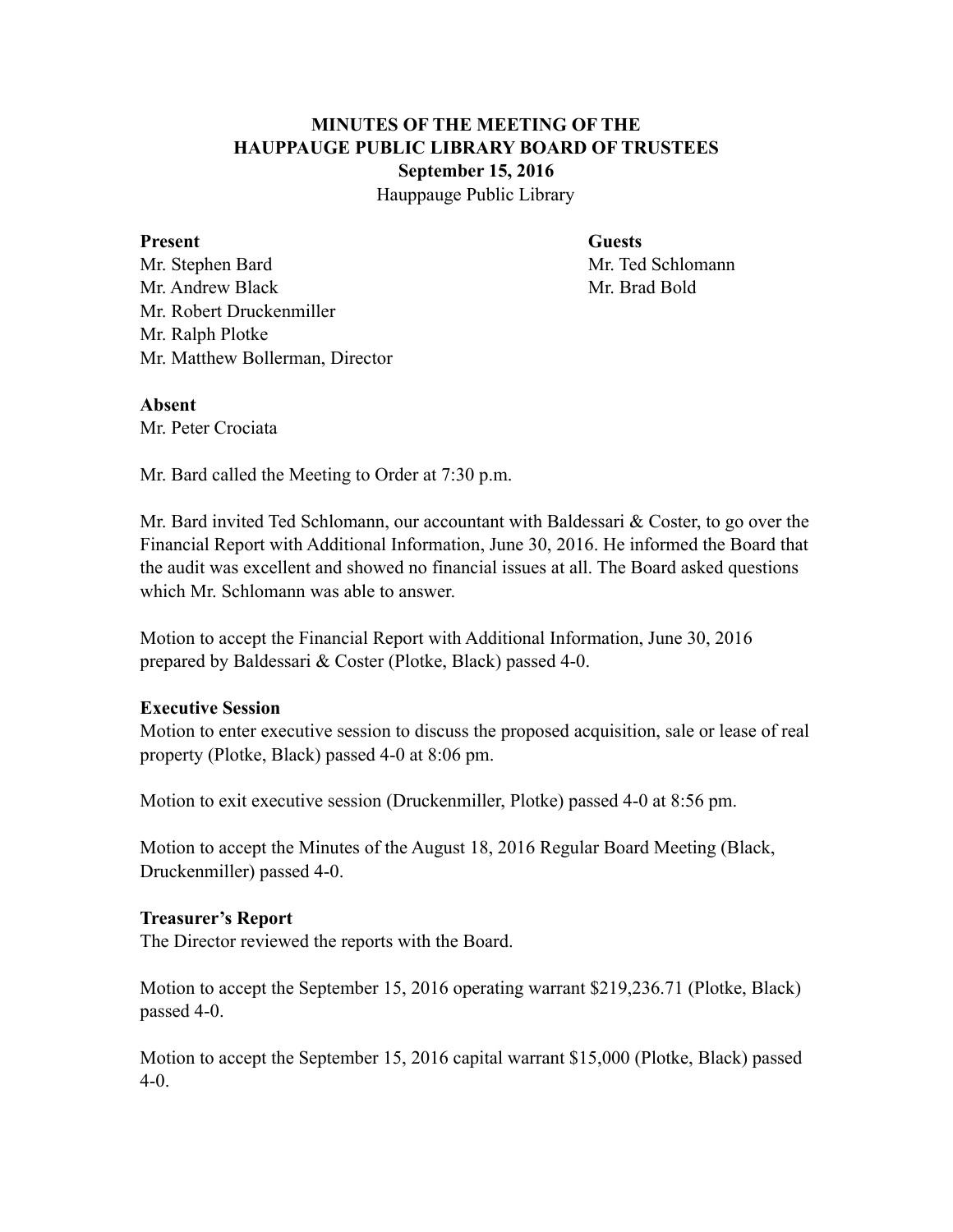# **MINUTES OF THE MEETING OF THE HAUPPAUGE PUBLIC LIBRARY BOARD OF TRUSTEES September 15, 2016**

Hauppauge Public Library

#### **Present Guests**

Mr. Stephen Bard Mr. Ted Schlomann Mr. Andrew Black Mr. Brad Bold Mr. Robert Druckenmiller Mr. Ralph Plotke Mr. Matthew Bollerman, Director

#### **Absent**

Mr. Peter Crociata

Mr. Bard called the Meeting to Order at 7:30 p.m.

Mr. Bard invited Ted Schlomann, our accountant with Baldessari  $\&$  Coster, to go over the Financial Report with Additional Information, June 30, 2016. He informed the Board that the audit was excellent and showed no financial issues at all. The Board asked questions which Mr. Schlomann was able to answer.

Motion to accept the Financial Report with Additional Information, June 30, 2016 prepared by Baldessari & Coster (Plotke, Black) passed 4-0.

### **Executive Session**

Motion to enter executive session to discuss the proposed acquisition, sale or lease of real property (Plotke, Black) passed 4-0 at 8:06 pm.

Motion to exit executive session (Druckenmiller, Plotke) passed 4-0 at 8:56 pm.

Motion to accept the Minutes of the August 18, 2016 Regular Board Meeting (Black, Druckenmiller) passed 4-0.

# **Treasurer's Report**

The Director reviewed the reports with the Board.

Motion to accept the September 15, 2016 operating warrant \$219,236.71 (Plotke, Black) passed 4-0.

Motion to accept the September 15, 2016 capital warrant \$15,000 (Plotke, Black) passed 4-0.